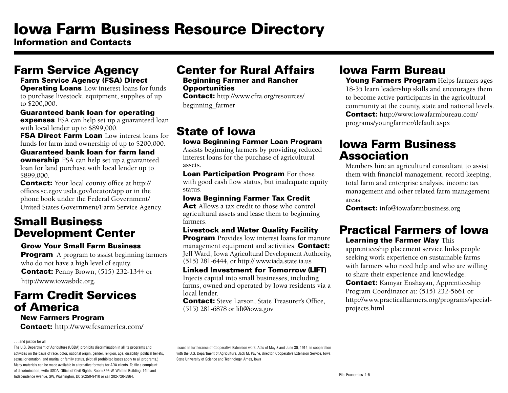# Iowa Farm Business Resource Directory

Information and Contacts

### Farm Service Agency

#### Farm Service Agency (FSA) Direct

**Operating Loans** Low interest loans for funds to purchase livestock, equipment, supplies of up to \$200,000.

Guaranteed bank loan for operating

**expenses** FSA can help set up a guaranteed loan with local lender up to \$899,000.

**FSA Direct Farm Loan Low interest loans for** funds for farm land ownership of up to \$200,000.

### Guaranteed bank loan for farm land

**ownership** FSA can help set up a guaranteed loan for land purchase with local lender up to \$899,000.

**Contact:** Your local county office at http:// offices.sc.egov.usda.gov/locator/app or in the phone book under the Federal Government/ United States Government/Farm Service Agency.

### Small Business Development Center

#### Grow Your Small Farm Business

**Program** A program to assist beginning farmers who do not have a high level of equity. **Contact: Penny Brown, (515) 232-1344 or** http://www.iowasbdc.org.

### Farm Credit Services of America

#### New Farmers Program

Contact: http://www.fcsamerica.com/

#### ... and justice for all

The U.S. Department of Agriculture (USDA) prohibits discrimination in all its programs and activities on the basis of race, color, national origin, gender, religion, age, disability, political beliefs, sexual orientation, and marital or family status. (Not all prohibited bases apply to all programs.) Many materials can be made available in alternative formats for ADA clients. To file a complaint of discrimination, write USDA, Office of Civil Rights, Room 326-W, Whitten Building, 14th and Independence Avenue, SW, Washington, DC 20250-9410 or call 202-720-5964.

## Center for Rural Affairs

#### Beginning Farmer and Rancher **Opportunities**

Contact: http://www.cfra.org/resources/ beginning\_farmer

## State of Iowa

Iowa Beginning Farmer Loan Program

Assists beginning farmers by providing reduced interest loans for the purchase of agricultural assets.

**Loan Participation Program For those** with good cash flow status, but inadequate equity status.

### Iowa Beginning Farmer Tax Credit

**Act** Allows a tax credit to those who control agricultural assets and lease them to beginning farmers.

#### Livestock and Water Quality Facility

**Program** Provides low interest loans for manure management equipment and activities. **Contact:** Jeff Ward, Iowa Agricultural Development Authority, (515) 281-6444, or http:// www.iada.state.ia.us

Linked Investment for Tomorrow (LIFT) Injects capital into small businesses, including farms, owned and operated by Iowa residents via a local lender.

**Contact:** Steve Larson, State Treasurer's Office, (515) 281-6878 or lift@iowa.gov

## Iowa Farm Bureau

Young Farmers Program Helps farmers ages 18-35 learn leadership skills and encourages them to become active participants in the agricultural community at the county, state and national levels. Contact: http://www.iowafarmbureau.com/ programs/youngfarmer/default.aspx

### Iowa Farm Business Association

Members hire an agricultural consultant to assist them with financial management, record keeping, total farm and enterprise analysis, income tax management and other related farm management areas.

**Contact:** info@iowafarmbusiness.org

### Practical Farmers of Iowa **Learning the Farmer Way This**

apprenticeship placement service links people seeking work experience on sustainable farms with farmers who need help and who are willing to share their experience and knowledge.

Contact: Kamyar Enshayan, Apprenticeship Program Coordinator at: (515) 232-5661 or http://www.practicalfarmers.org/programs/specialprojects.html

Issued in furtherance of Cooperative Extension work, Acts of May 8 and June 30, 1914, in cooperation with the U.S. Department of Agriculture. Jack M. Payne, director, Cooperative Extension Service, Iowa State University of Science and Technology, Ames, Iowa